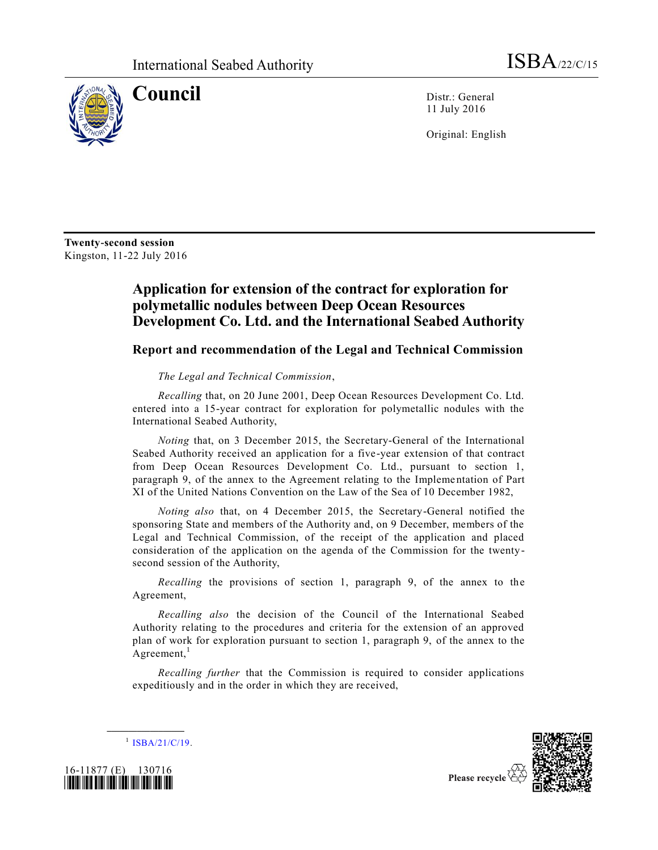

**Council** Distr.: General 11 July 2016

Original: English

**Twenty-second session** Kingston, 11-22 July 2016

## **Application for extension of the contract for exploration for polymetallic nodules between Deep Ocean Resources Development Co. Ltd. and the International Seabed Authority**

## **Report and recommendation of the Legal and Technical Commission**

## *The Legal and Technical Commission*,

*Recalling* that, on 20 June 2001, Deep Ocean Resources Development Co. Ltd. entered into a 15-year contract for exploration for polymetallic nodules with the International Seabed Authority,

*Noting* that, on 3 December 2015, the Secretary-General of the International Seabed Authority received an application for a five-year extension of that contract from Deep Ocean Resources Development Co. Ltd., pursuant to section 1, paragraph 9, of the annex to the Agreement relating to the Impleme ntation of Part XI of the United Nations Convention on the Law of the Sea of 10 December 1982,

*Noting also* that, on 4 December 2015, the Secretary-General notified the sponsoring State and members of the Authority and, on 9 December, members of the Legal and Technical Commission, of the receipt of the application and placed consideration of the application on the agenda of the Commission for the twentysecond session of the Authority,

*Recalling* the provisions of section 1, paragraph 9, of the annex to the Agreement,

*Recalling also* the decision of the Council of the International Seabed Authority relating to the procedures and criteria for the extension of an approved plan of work for exploration pursuant to section 1, paragraph 9, of the annex to the Agreement, $<sup>1</sup>$ </sup>

*Recalling further* that the Commission is required to consider applications expeditiously and in the order in which they are received,



**\_\_\_\_\_\_\_\_\_\_\_\_\_\_\_\_\_\_**



Please recycle